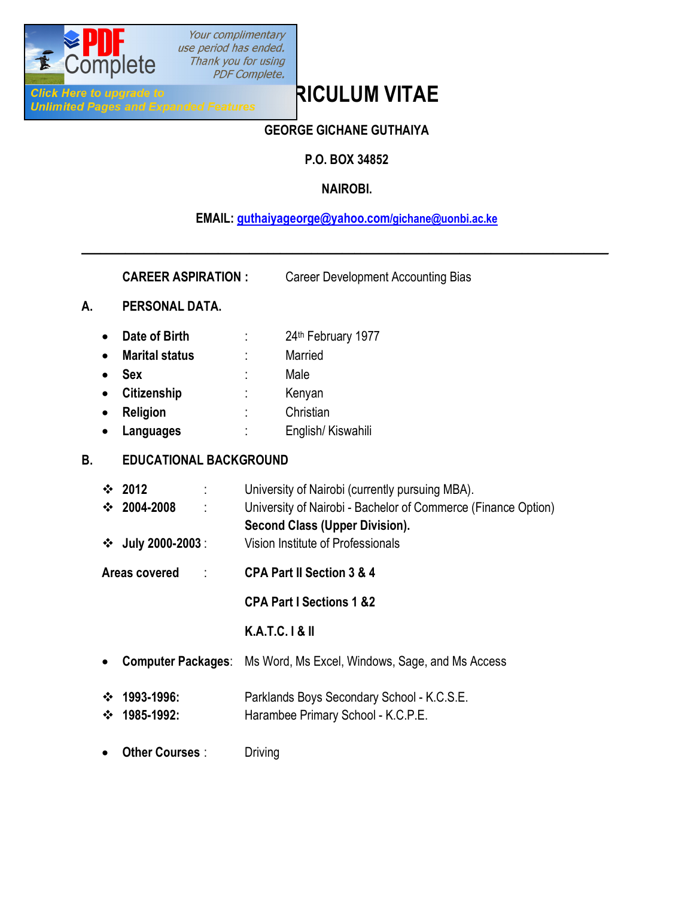

Your complimentary use period has ended. Thank you for using PDF Complete.

# **Click Here to upgrade to**<br>
Unlimited Pages and Expanded Features<br>
Unlimited Pages and Expanded Features

# **GEORGE GICHANE GUTHAIYA**

# **P.O. BOX 34852**

# **NAIROBI.**

## **EMAIL: [guthaiyageorge@yahoo.com/gichane@uonbi.ac.ke](mailto:guthaiyageorge@yahoo.com/gichane@uonbi.ac.ke)**

**\_\_\_\_\_\_\_\_\_\_\_\_\_\_\_\_\_\_\_\_\_\_\_\_\_\_\_\_\_\_\_\_\_\_\_\_\_\_\_\_\_\_\_\_\_\_\_\_\_\_\_\_\_\_\_\_\_\_\_\_\_\_\_\_\_\_\_\_\_\_\_\_\_\_\_\_\_\_\_\_\_\_\_\_\_**

**CAREER ASPIRATION :** Career Development Accounting Bias

#### **A. PERSONAL DATA.**

- **Date of Birth** : 24<sup>th</sup> February 1977
- · **Marital status** : Married
- · **Sex** : Male
- · **Citizenship** : Kenyan
- · **Religion** : Christian
- · **Languages** : English/ Kiswahili

## **B. EDUCATIONAL BACKGROUND**

- v **2012** : University of Nairobi (currently pursuing MBA). v **2004-2008** : University of Nairobi - Bachelor of Commerce (Finance Option) **Second Class (Upper Division).**
- v **July 2000-2003** : Vision Institute of Professionals
- **Areas covered** : **CPA Part II Section 3 & 4**

**CPA Part I Sections 1 &2**

## **K.A.T.C. I & II**

- · **Computer Packages**: Ms Word, Ms Excel, Windows, Sage, and Ms Access
- v **1993-1996:** Parklands Boys Secondary School K.C.S.E. v **1985-1992:** Harambee Primary School - K.C.P.E.
- · **Other Courses** : Driving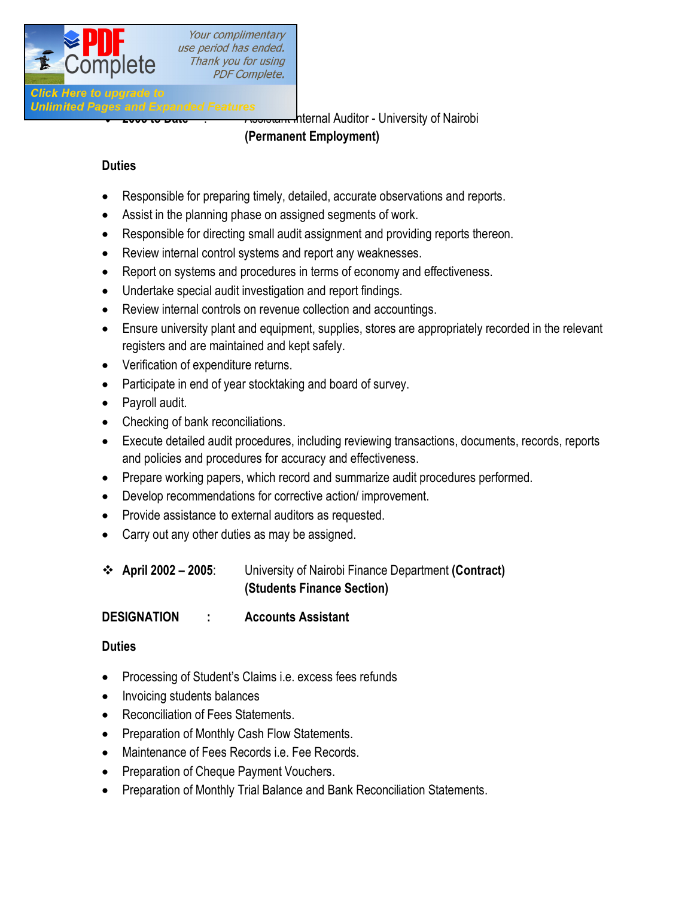

Your complimentary use period has ended. Thank you for using **PDF Complete.** 

# **Click Here to upgrade to**

v **2005 to Date** : Assistant Internal Auditor - University of Nairobi

#### **(Permanent Employment)**

#### **Duties**

- Responsible for preparing timely, detailed, accurate observations and reports.
- Assist in the planning phase on assigned segments of work.
- Responsible for directing small audit assignment and providing reports thereon.
- · Review internal control systems and report any weaknesses.
- Report on systems and procedures in terms of economy and effectiveness.
- · Undertake special audit investigation and report findings.
- · Review internal controls on revenue collection and accountings.
- · Ensure university plant and equipment, supplies, stores are appropriately recorded in the relevant registers and are maintained and kept safely.
- · Verification of expenditure returns.
- Participate in end of year stocktaking and board of survey.
- · Payroll audit.
- Checking of bank reconciliations.
- · Execute detailed audit procedures, including reviewing transactions, documents, records, reports and policies and procedures for accuracy and effectiveness.
- · Prepare working papers, which record and summarize audit procedures performed.
- · Develop recommendations for corrective action/ improvement.
- · Provide assistance to external auditors as requested.
- Carry out any other duties as may be assigned.
- v **April 2002 – 2005**: University of Nairobi Finance Department **(Contract) (Students Finance Section)**
- **DESIGNATION : Accounts Assistant**

#### **Duties**

- Processing of Student's Claims i.e. excess fees refunds
- Invoicing students balances
- · Reconciliation of Fees Statements.
- Preparation of Monthly Cash Flow Statements.
- · Maintenance of Fees Records i.e. Fee Records.
- · Preparation of Cheque Payment Vouchers.
- · Preparation of Monthly Trial Balance and Bank Reconciliation Statements.